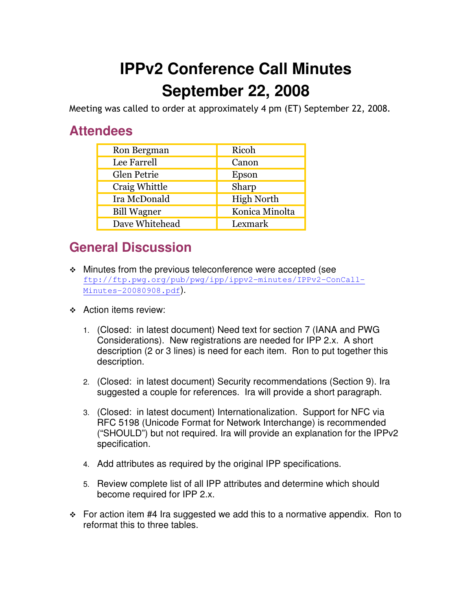## **IPPv2 Conference Call Minutes September 22, 2008**

Meeting was called to order at approximately 4 pm (ET) September 22, 2008.

## **Attendees**

| Ron Bergman        | Ricoh             |
|--------------------|-------------------|
| Lee Farrell        | Canon             |
| Glen Petrie        | Epson             |
| Craig Whittle      | Sharp             |
| Ira McDonald       | <b>High North</b> |
| <b>Bill Wagner</b> | Konica Minolta    |
| Dave Whitehead     | Lexmark           |

## **General Discussion**

- Minutes from the previous teleconference were accepted (see ftp://ftp.pwg.org/pub/pwg/ipp/ippv2-minutes/IPPv2-ConCall-Minutes-20080908.pdf).
- **↑ Action items review:** 
	- 1. (Closed: in latest document) Need text for section 7 (IANA and PWG Considerations). New registrations are needed for IPP 2.x. A short description (2 or 3 lines) is need for each item. Ron to put together this description.
	- 2. (Closed: in latest document) Security recommendations (Section 9). Ira suggested a couple for references. Ira will provide a short paragraph.
	- 3. (Closed: in latest document) Internationalization. Support for NFC via RFC 5198 (Unicode Format for Network Interchange) is recommended ("SHOULD") but not required. Ira will provide an explanation for the IPPv2 specification.
	- 4. Add attributes as required by the original IPP specifications.
	- 5. Review complete list of all IPP attributes and determine which should become required for IPP 2.x.
- $\div$  For action item #4 Ira suggested we add this to a normative appendix. Ron to reformat this to three tables.